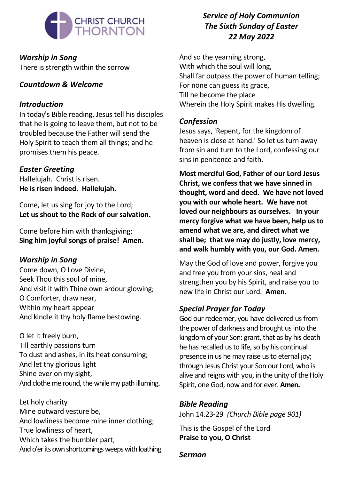

*Worship in Song* There is strength within the sorrow

# *Countdown & Welcome*

# *Introduction*

In today's Bible reading, Jesus tell his disciples that he is going to leave them, but not to be troubled because the Father will send the Holy Spirit to teach them all things; and he promises them his peace.

# *Easter Greeting*

Hallelujah. Christ is risen. **He is risen indeed. Hallelujah.**

Come, let us sing for joy to the Lord; **Let us shout to the Rock of our salvation.**

Come before him with thanksgiving; **Sing him joyful songs of praise! Amen.**

# *Worship in Song*

Come down, O Love Divine, Seek Thou this soul of mine, And visit it with Thine own ardour glowing; O Comforter, draw near, Within my heart appear And kindle it thy holy flame bestowing.

O let it freely burn, Till earthly passions turn To dust and ashes, in its heat consuming; And let thy glorious light Shine ever on my sight, And clothe me round, the while my path illuming.

Let holy charity Mine outward vesture be, And lowliness become mine inner clothing; True lowliness of heart, Which takes the humbler part, And o'er its own shortcomings weeps with loathing

# *Service of Holy Communion The Sixth Sunday of Easter 22 May 2022*

And so the yearning strong, With which the soul will long, Shall far outpass the power of human telling; For none can guess its grace, Till he become the place Wherein the Holy Spirit makes His dwelling.

# *Confession*

Jesus says, 'Repent, for the kingdom of heaven is close at hand.' So let us turn away from sin and turn to the Lord, confessing our sins in penitence and faith.

**Most merciful God, Father of our Lord Jesus Christ, we confess that we have sinned in thought, word and deed. We have not loved you with our whole heart. We have not loved our neighbours as ourselves. In your mercy forgive what we have been, help us to amend what we are, and direct what we shall be; that we may do justly, love mercy, and walk humbly with you, our God. Amen.**

May the God of love and power, forgive you and free you from your sins, heal and strengthen you by his Spirit, and raise you to new life in Christ our Lord. **Amen.**

# *Special Prayer for Today*

God our redeemer, you have delivered us from the power of darkness and brought us into the kingdomof your Son: grant, that as by his death he has recalled us to life, so by his continual presence in us he may raise us to eternal joy; through Jesus Christ your Son our Lord, who is alive and reigns with you, in the unity of the Holy Spirit, one God, now and for ever. **Amen.**

*Bible Reading* John 14.23-29 *(Church Bible page 901)*

This is the Gospel of the Lord **Praise to you, O Christ**

*Sermon*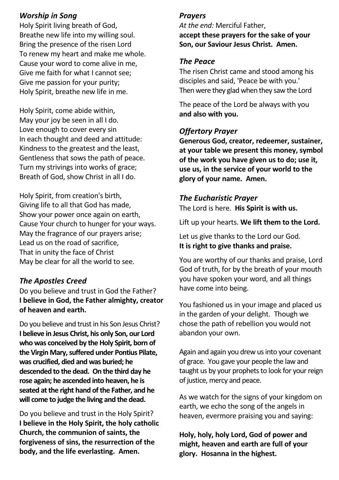# *Worship in Song*

Holy Spirit living breath of God, Breathe new life into my willing soul. Bring the presence of the risen Lord To renew my heart and make me whole. Cause your word to come alive in me, Give me faith for what I cannot see; Give me passion for your purity; Holy Spirit, breathe new life in me.

Holy Spirit, come abide within, May your joy be seen in all I do. Love enough to cover every sin In each thought and deed and attitude: Kindness to the greatest and the least, Gentleness that sows the path of peace. Turn my strivings into works of grace; Breath of God, show Christ in all I do.

Holy Spirit, from creation's birth, Giving life to all that God has made, Show your power once again on earth, Cause Your church to hunger for your ways. May the fragrance of our prayers arise; Lead us on the road of sacrifice, That in unity the face of Christ May be clear for all the world to see.

# *The Apostles Creed*

Do you believe and trust in God the Father? **I believe in God, the Father almighty, creator of heaven and earth.**

Do you believe and trust in his Son Jesus Christ? **I believe in Jesus Christ, his only Son, our Lord who was conceived by theHoly Spirit, born of the Virgin Mary,suffered under Pontius Pilate, was crucified, died and was buried; he descended to the dead. On the third day he rose again; he ascended into heaven, he is seated atthe right hand ofthe Father, and he will come to judge the living and the dead.**

Do you believe and trust in the Holy Spirit? **I believe in the Holy Spirit, the holy catholic Church, the communion of saints, the forgiveness of sins, the resurrection of the body, and the life everlasting. Amen.**

### *Prayers*

*At the end:* Merciful Father, **accept these prayers for the sake of your Son, our Saviour Jesus Christ. Amen.**

### *The Peace*

The risen Christ came and stood among his disciples and said, 'Peace be with you.' Then were they glad when they saw the Lord

The peace of the Lord be always with you **and also with you.**

# *Offertory Prayer*

**Generous God, creator, redeemer, sustainer, at your table we present this money, symbol of the work you have given us to do; use it, use us, in the service of your world to the glory of your name. Amen.**

# *The Eucharistic Prayer*

The Lord is here. **His Spirit is with us.**

Lift up your hearts. **We lift them to the Lord.**

Let us give thanks to the Lord our God. **It is right to give thanks and praise.**

You are worthy of our thanks and praise, Lord God of truth, for by the breath of your mouth you have spoken your word, and all things have come into being.

You fashioned us in your image and placed us in the garden of your delight. Though we chose the path of rebellion you would not abandon your own.

Again and again you drew us into your covenant of grace. You gave your people the law and taught us by your prophets to look for your reign of justice, mercy and peace.

As we watch for the signs of your kingdom on earth, we echo the song of the angels in heaven, evermore praising you and saying:

**Holy, holy, holy Lord, God of power and might, heaven and earth are full of your glory. Hosanna in the highest.**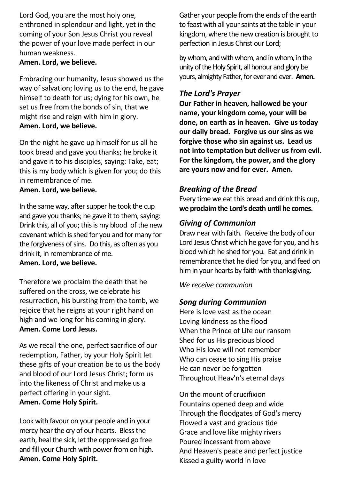Lord God, you are the most holy one, enthroned in splendour and light, yet in the coming of your Son Jesus Christ you reveal the power of your love made perfect in our human weakness.

#### **Amen. Lord, we believe.**

Embracing our humanity, Jesus showed us the way of salvation; loving us to the end, he gave himself to death for us; dying for his own, he set us free from the bonds of sin, that we might rise and reign with him in glory. **Amen. Lord, we believe.**

On the night he gave up himself for us all he took bread and gave you thanks; he broke it and gave it to his disciples, saying: Take, eat; this is my body which is given for you; do this in remembrance of me.

#### **Amen. Lord, we believe.**

In the same way, after supper he took the cup and gave you thanks; he gave it to them, saying: Drink this, all of you; this is my blood of the new covenant which is shed for you and for many for the forgiveness of sins. Do this, as often as you drink it, in remembrance of me. **Amen. Lord, we believe.**

Therefore we proclaim the death that he suffered on the cross, we celebrate his resurrection, his bursting from the tomb, we rejoice that he reigns at your right hand on high and we long for his coming in glory. **Amen. Come Lord Jesus.**

As we recall the one, perfect sacrifice of our redemption, Father, by your Holy Spirit let these gifts of your creation be to us the body and blood of our Lord Jesus Christ; form us into the likeness of Christ and make us a perfect offering in your sight. **Amen. Come Holy Spirit.**

Look with favour on your people and in your mercy hear the cry of our hearts. Bless the earth, heal the sick, let the oppressed go free and fill your Church with power from on high. **Amen. Come Holy Spirit.**

Gather your people from the ends of the earth to feast with all your saints at the table in your kingdom, where the new creation is brought to perfection in Jesus Christ our Lord;

by whom, and with whom, and in whom, in the unity of the Holy Spirit, all honour and glory be yours, almighty Father, for ever and ever. **Amen.** 

### *The Lord's Prayer*

**Our Father in heaven, hallowed be your name, your kingdom come, your will be done, on earth as in heaven. Give us today our daily bread. Forgive us our sins as we forgive those who sin against us. Lead us not into temptation but deliver us from evil. For the kingdom, the power, and the glory are yours now and for ever. Amen.**

# *Breaking of the Bread*

Every time we eat this bread and drink this cup, **we proclaim the Lord's death until he comes.**

# *Giving of Communion*

Draw near with faith. Receive the body of our Lord Jesus Christ which he gave for you, and his blood which he shed for you. Eat and drink in remembrance that he died for you, and feed on him in your hearts by faith with thanksgiving.

*We receive communion*

# *Song during Communion*

Here is love vast as the ocean Loving kindness as the flood When the Prince of Life our ransom Shed for us His precious blood Who His love will not remember Who can cease to sing His praise He can never be forgotten Throughout Heav'n's eternal days

On the mount of crucifixion Fountains opened deep and wide Through the floodgates of God's mercy Flowed a vast and gracious tide Grace and love like mighty rivers Poured incessant from above And Heaven's peace and perfect justice Kissed a guilty world in love